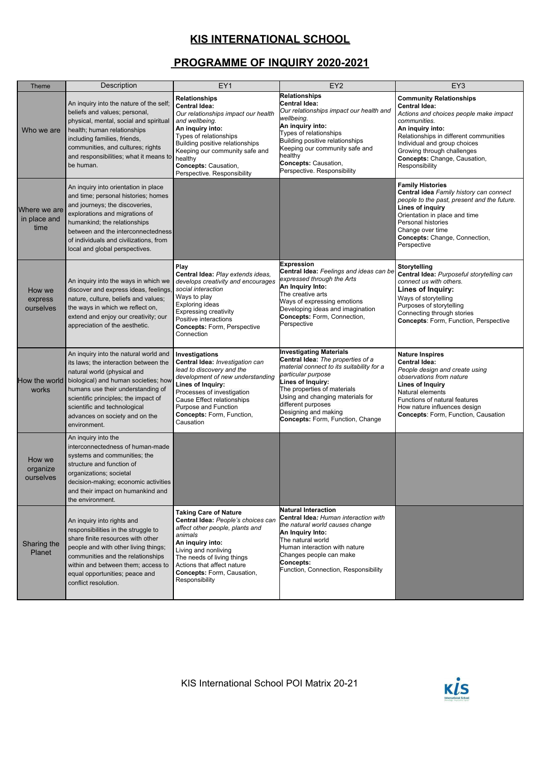## **KIS INTERNATIONAL SCHOOL**

## **PROGRAMME OF INQUIRY 2020-2021**

| Theme                                | Description                                                                                                                                                                                                                                                                                                          | EY1                                                                                                                                                                                                                                                                                        | EY <sub>2</sub>                                                                                                                                                                                                                                                                                                         | EY3                                                                                                                                                                                                                                                                                            |
|--------------------------------------|----------------------------------------------------------------------------------------------------------------------------------------------------------------------------------------------------------------------------------------------------------------------------------------------------------------------|--------------------------------------------------------------------------------------------------------------------------------------------------------------------------------------------------------------------------------------------------------------------------------------------|-------------------------------------------------------------------------------------------------------------------------------------------------------------------------------------------------------------------------------------------------------------------------------------------------------------------------|------------------------------------------------------------------------------------------------------------------------------------------------------------------------------------------------------------------------------------------------------------------------------------------------|
| Who we are                           | An inquiry into the nature of the self;<br>beliefs and values; personal,<br>physical, mental, social and spiritual<br>health; human relationships<br>including families, friends,<br>communities, and cultures; rights<br>and responsibilities; what it means to<br>be human.                                        | <b>Relationships</b><br><b>Central Idea:</b><br>Our relationships impact our health<br>and wellbeing.<br>An inquiry into:<br>Types of relationships<br>Building positive relationships<br>Keeping our community safe and<br>healthy<br>Concepts: Causation,<br>Perspective. Responsibility | Relationships<br><b>Central Idea:</b><br>Our relationships impact our health and<br>wellbeing.<br>An inquiry into:<br>Types of relationships<br>Building positive relationships<br>Keeping our community safe and<br>healthy<br>Concepts: Causation,<br>Perspective. Responsibility                                     | <b>Community Relationships</b><br><b>Central Idea:</b><br>Actions and choices people make impact<br>communities.<br>An inquiry into:<br>Relationships in different communities<br>Individual and group choices<br>Growing through challenges<br>Concepts: Change, Causation,<br>Responsibility |
| Where we are<br>in place and<br>time | An inquiry into orientation in place<br>and time; personal histories; homes<br>and journeys; the discoveries,<br>explorations and migrations of<br>humankind; the relationships<br>between and the interconnectedness<br>of individuals and civilizations, from<br>local and global perspectives.                    |                                                                                                                                                                                                                                                                                            |                                                                                                                                                                                                                                                                                                                         | <b>Family Histories</b><br>Central idea Family history can connect<br>people to the past, present and the future.<br>Lines of inquiry<br>Orientation in place and time<br>Personal histories<br>Change over time<br>Concepts: Change, Connection,<br>Perspective                               |
| How we<br>express<br>ourselves       | An inquiry into the ways in which we<br>discover and express ideas, feelings,<br>nature, culture, beliefs and values;<br>the ways in which we reflect on,<br>extend and enjoy our creativity; our<br>appreciation of the aesthetic.                                                                                  | Play<br>Central Idea: Play extends ideas,<br>develops creativity and encourages<br>social interaction<br>Ways to play<br>Exploring ideas<br><b>Expressing creativity</b><br>Positive interactions<br><b>Concepts: Form, Perspective</b><br>Connection                                      | <b>Expression</b><br>Central Idea: Feelings and ideas can be<br>expressed through the Arts<br>An Inquiry Into:<br>The creative arts<br>Ways of expressing emotions<br>Developing ideas and imagination<br>Concepts: Form, Connection,<br>Perspective                                                                    | Storytelling<br>Central Idea: Purposeful storytelling can<br>connect us with others.<br>Lines of Inquiry:<br>Ways of storytelling<br>Purposes of storytelling<br>Connecting through stories<br>Concepts: Form, Function, Perspective                                                           |
| How the world<br>works               | An inquiry into the natural world and<br>its laws; the interaction between the<br>natural world (physical and<br>biological) and human societies; how<br>humans use their understanding of<br>scientific principles; the impact of<br>scientific and technological<br>advances on society and on the<br>environment. | Investigations<br>Central Idea: Investigation can<br>lead to discovery and the<br>development of new understanding<br>Lines of Inquiry:<br>Processes of investigation<br>Cause Effect relationships<br>Purpose and Function<br>Concepts: Form, Function,<br>Causation                      | <b>Investigating Materials</b><br>Central Idea: The properties of a<br>material connect to its suitability for a<br>particular purpose<br>Lines of Inquiry:<br>The properties of materials<br>Using and changing materials for<br>different purposes<br>Designing and making<br><b>Concepts: Form, Function, Change</b> | <b>Nature Inspires</b><br><b>Central Idea:</b><br>People design and create using<br>observations from nature<br><b>Lines of Inquiry</b><br>Natural elements<br>Functions of natural features<br>How nature influences design<br>Concepts: Form, Function, Causation                            |
| How we<br>organize<br>ourselves      | An inquiry into the<br>interconnectedness of human-made<br>systems and communities; the<br>structure and function of<br>organizations; societal<br>decision-making; economic activities<br>and their impact on humankind and<br>the environment.                                                                     |                                                                                                                                                                                                                                                                                            |                                                                                                                                                                                                                                                                                                                         |                                                                                                                                                                                                                                                                                                |
| Sharing the<br>Planet                | An inquiry into rights and<br>responsibilities in the struggle to<br>share finite resources with other<br>people and with other living things;<br>communities and the relationships<br>within and between them; access to<br>equal opportunities; peace and<br>conflict resolution.                                  | <b>Taking Care of Nature</b><br>Central Idea: People's choices can<br>affect other people, plants and<br>animals<br>An inquiry into:<br>Living and nonliving<br>The needs of living things<br>Actions that affect nature<br>Concepts: Form, Causation,<br>Responsibility                   | <b>Natural Interaction</b><br>Central Idea: Human interaction with<br>the natural world causes change<br>An Inquiry Into:<br>The natural world<br>Human interaction with nature<br>Changes people can make<br><b>Concepts:</b><br>Function, Connection, Responsibility                                                  |                                                                                                                                                                                                                                                                                                |